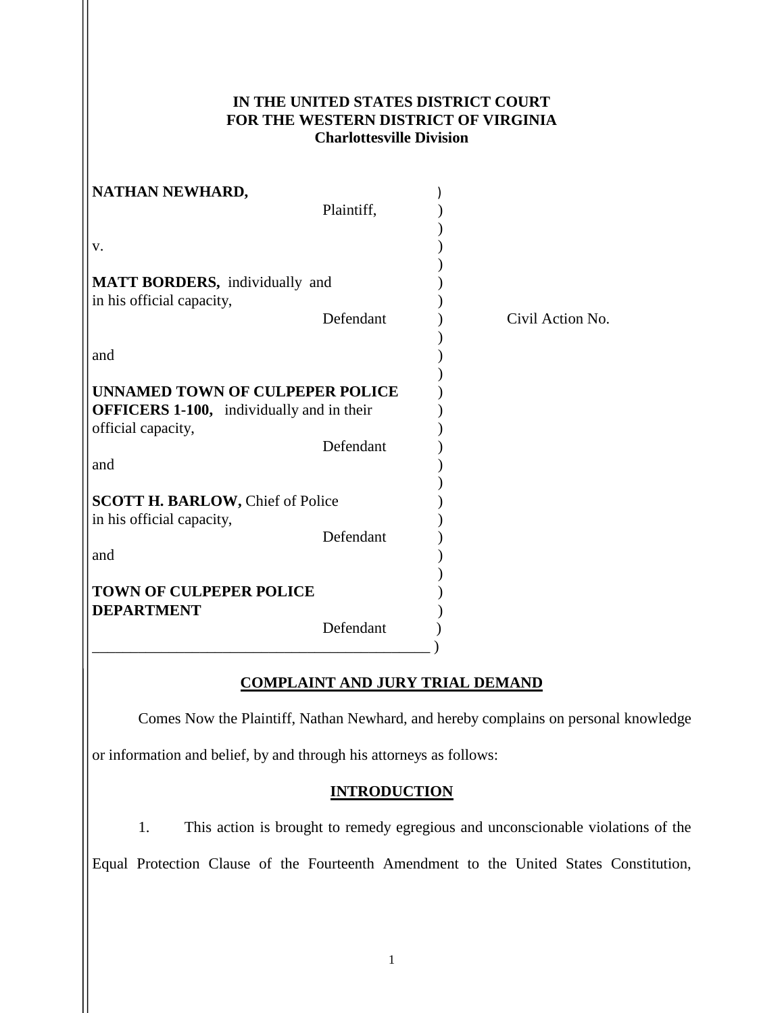## **IN THE UNITED STATES DISTRICT COURT FOR THE WESTERN DISTRICT OF VIRGINIA Charlottesville Division**

| NATHAN NEWHARD,                                                                            |            |                  |
|--------------------------------------------------------------------------------------------|------------|------------------|
|                                                                                            | Plaintiff, |                  |
|                                                                                            |            |                  |
| v.                                                                                         |            |                  |
| MATT BORDERS, individually and                                                             |            |                  |
| in his official capacity,                                                                  |            |                  |
|                                                                                            | Defendant  | Civil Action No. |
|                                                                                            |            |                  |
| and                                                                                        |            |                  |
| <b>UNNAMED TOWN OF CULPEPER POLICE</b><br><b>OFFICERS 1-100,</b> individually and in their |            |                  |
| official capacity,                                                                         |            |                  |
|                                                                                            | Defendant  |                  |
| and                                                                                        |            |                  |
| <b>SCOTT H. BARLOW, Chief of Police</b>                                                    |            |                  |
| in his official capacity,                                                                  |            |                  |
|                                                                                            | Defendant  |                  |
| and                                                                                        |            |                  |
| <b>TOWN OF CULPEPER POLICE</b>                                                             |            |                  |
| <b>DEPARTMENT</b>                                                                          |            |                  |
|                                                                                            | Defendant  |                  |
|                                                                                            |            |                  |

## **COMPLAINT AND JURY TRIAL DEMAND**

Comes Now the Plaintiff, Nathan Newhard, and hereby complains on personal knowledge

or information and belief, by and through his attorneys as follows:

## **INTRODUCTION**

1. This action is brought to remedy egregious and unconscionable violations of the

Equal Protection Clause of the Fourteenth Amendment to the United States Constitution,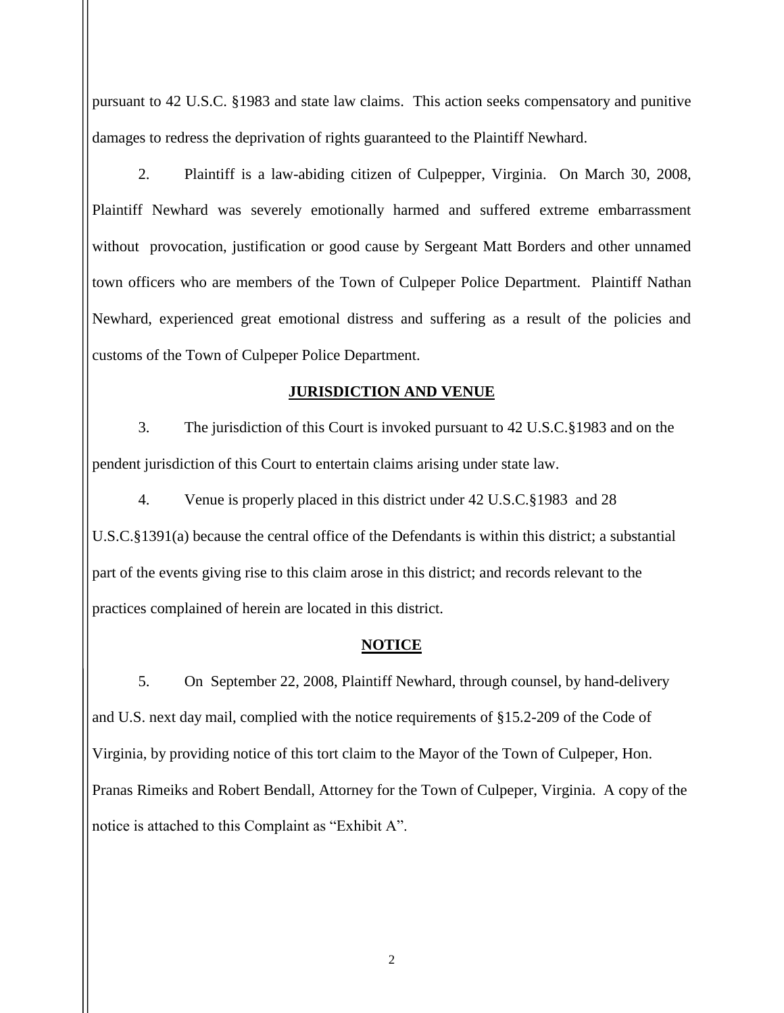pursuant to 42 U.S.C. §1983 and state law claims. This action seeks compensatory and punitive damages to redress the deprivation of rights guaranteed to the Plaintiff Newhard.

2. Plaintiff is a law-abiding citizen of Culpepper, Virginia. On March 30, 2008, Plaintiff Newhard was severely emotionally harmed and suffered extreme embarrassment without provocation, justification or good cause by Sergeant Matt Borders and other unnamed town officers who are members of the Town of Culpeper Police Department. Plaintiff Nathan Newhard, experienced great emotional distress and suffering as a result of the policies and customs of the Town of Culpeper Police Department.

### **JURISDICTION AND VENUE**

3. The jurisdiction of this Court is invoked pursuant to 42 U.S.C.§1983 and on the pendent jurisdiction of this Court to entertain claims arising under state law.

4. Venue is properly placed in this district under 42 U.S.C.§1983 and 28 U.S.C.§1391(a) because the central office of the Defendants is within this district; a substantial part of the events giving rise to this claim arose in this district; and records relevant to the practices complained of herein are located in this district.

### **NOTICE**

5. On September 22, 2008, Plaintiff Newhard, through counsel, by hand-delivery and U.S. next day mail, complied with the notice requirements of §15.2-209 of the Code of Virginia, by providing notice of this tort claim to the Mayor of the Town of Culpeper, Hon. Pranas Rimeiks and Robert Bendall, Attorney for the Town of Culpeper, Virginia. A copy of the notice is attached to this Complaint as "Exhibit A".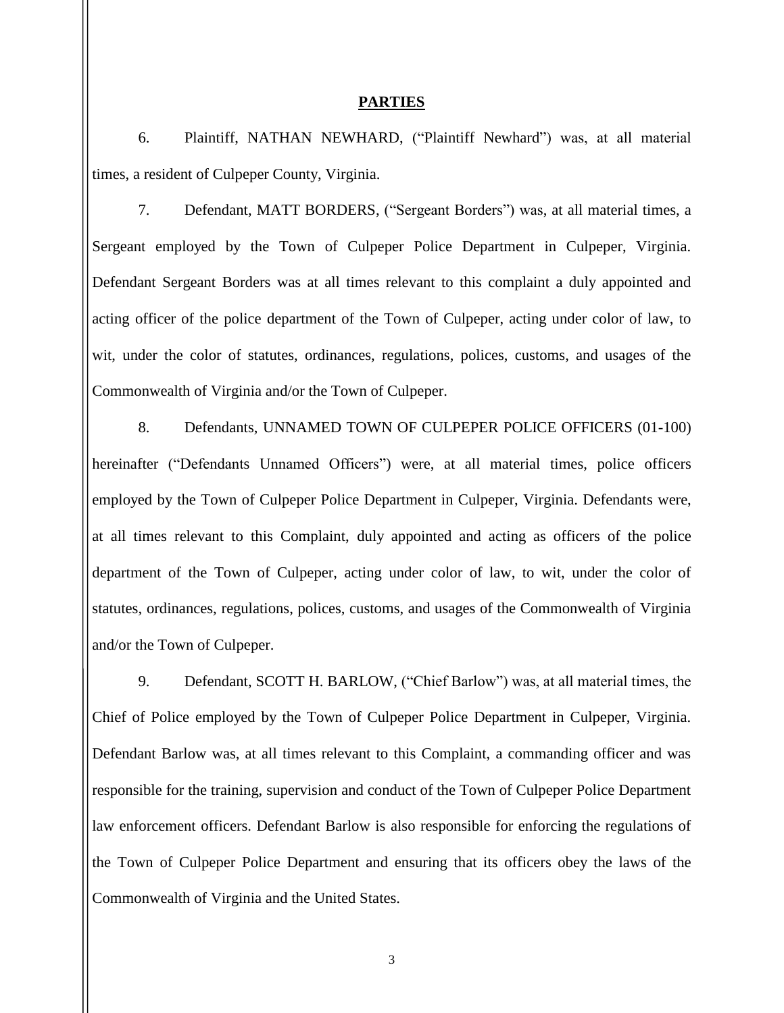#### **PARTIES**

6. Plaintiff, NATHAN NEWHARD, ("Plaintiff Newhard") was, at all material times, a resident of Culpeper County, Virginia.

7. Defendant, MATT BORDERS, ("Sergeant Borders") was, at all material times, a Sergeant employed by the Town of Culpeper Police Department in Culpeper, Virginia. Defendant Sergeant Borders was at all times relevant to this complaint a duly appointed and acting officer of the police department of the Town of Culpeper, acting under color of law, to wit, under the color of statutes, ordinances, regulations, polices, customs, and usages of the Commonwealth of Virginia and/or the Town of Culpeper.

8. Defendants, UNNAMED TOWN OF CULPEPER POLICE OFFICERS (01-100) hereinafter ("Defendants Unnamed Officers") were, at all material times, police officers employed by the Town of Culpeper Police Department in Culpeper, Virginia. Defendants were, at all times relevant to this Complaint, duly appointed and acting as officers of the police department of the Town of Culpeper, acting under color of law, to wit, under the color of statutes, ordinances, regulations, polices, customs, and usages of the Commonwealth of Virginia and/or the Town of Culpeper.

9. Defendant, SCOTT H. BARLOW, ("Chief Barlow") was, at all material times, the Chief of Police employed by the Town of Culpeper Police Department in Culpeper, Virginia. Defendant Barlow was, at all times relevant to this Complaint, a commanding officer and was responsible for the training, supervision and conduct of the Town of Culpeper Police Department law enforcement officers. Defendant Barlow is also responsible for enforcing the regulations of the Town of Culpeper Police Department and ensuring that its officers obey the laws of the Commonwealth of Virginia and the United States.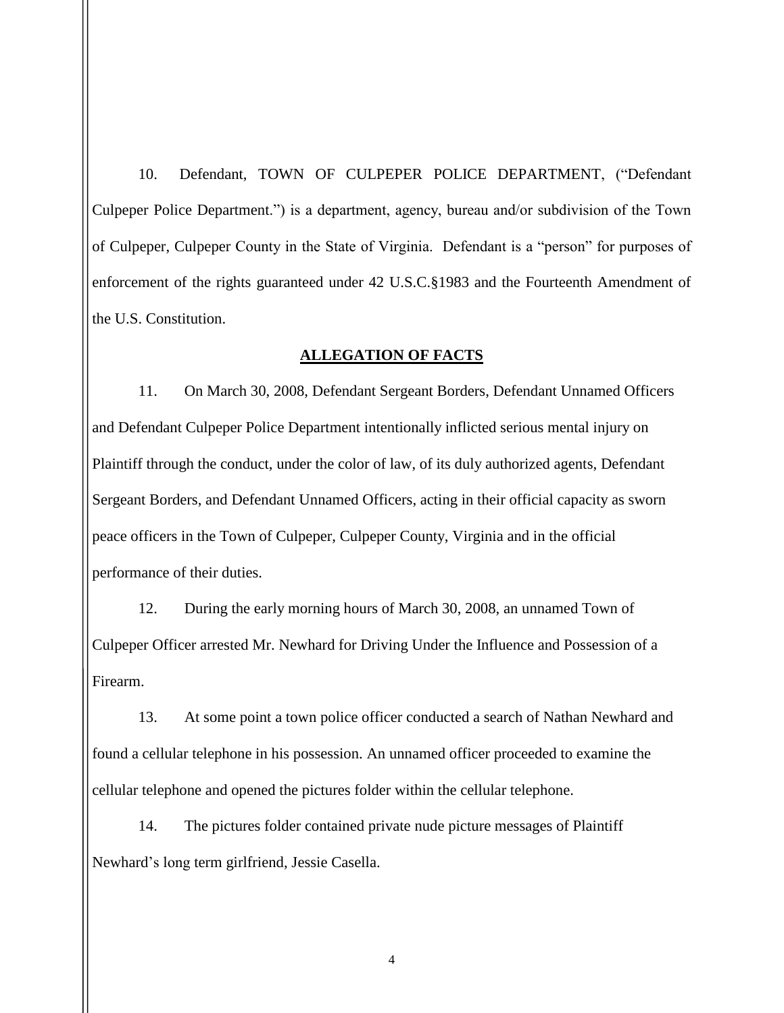10. Defendant, TOWN OF CULPEPER POLICE DEPARTMENT, ("Defendant Culpeper Police Department.") is a department, agency, bureau and/or subdivision of the Town of Culpeper, Culpeper County in the State of Virginia. Defendant is a "person" for purposes of enforcement of the rights guaranteed under 42 U.S.C.§1983 and the Fourteenth Amendment of the U.S. Constitution.

#### **ALLEGATION OF FACTS**

11. On March 30, 2008, Defendant Sergeant Borders, Defendant Unnamed Officers and Defendant Culpeper Police Department intentionally inflicted serious mental injury on Plaintiff through the conduct, under the color of law, of its duly authorized agents, Defendant Sergeant Borders, and Defendant Unnamed Officers, acting in their official capacity as sworn peace officers in the Town of Culpeper, Culpeper County, Virginia and in the official performance of their duties.

12. During the early morning hours of March 30, 2008, an unnamed Town of Culpeper Officer arrested Mr. Newhard for Driving Under the Influence and Possession of a Firearm.

13. At some point a town police officer conducted a search of Nathan Newhard and found a cellular telephone in his possession. An unnamed officer proceeded to examine the cellular telephone and opened the pictures folder within the cellular telephone.

14. The pictures folder contained private nude picture messages of Plaintiff Newhard's long term girlfriend, Jessie Casella.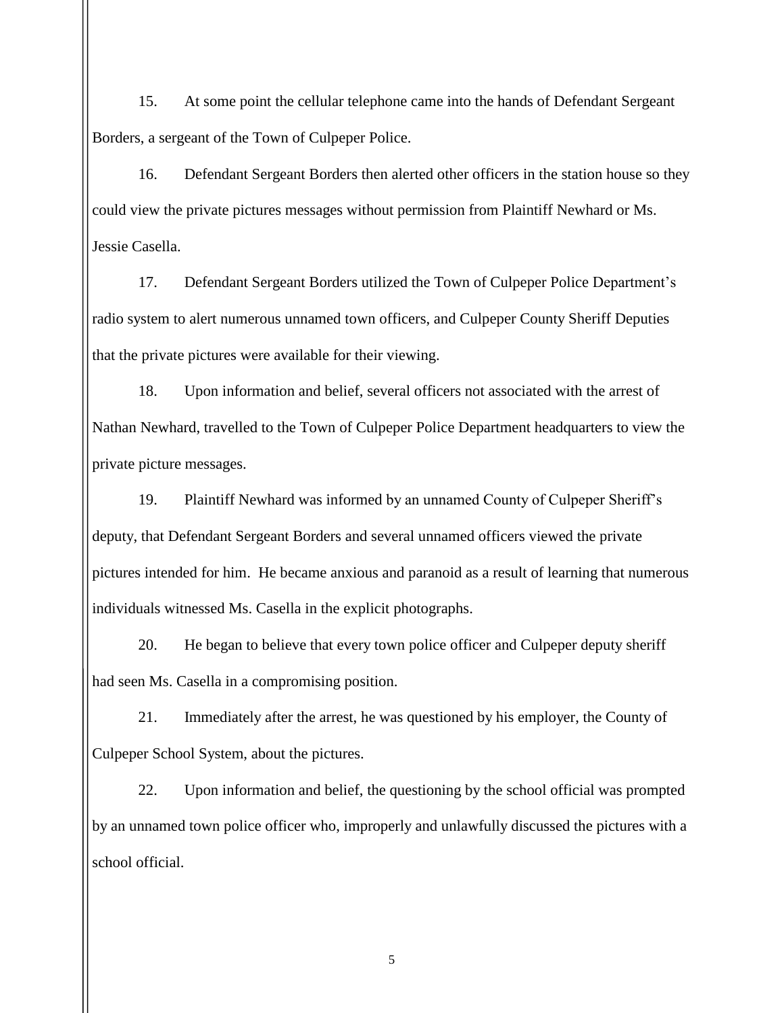15. At some point the cellular telephone came into the hands of Defendant Sergeant Borders, a sergeant of the Town of Culpeper Police.

16. Defendant Sergeant Borders then alerted other officers in the station house so they could view the private pictures messages without permission from Plaintiff Newhard or Ms. Jessie Casella.

17. Defendant Sergeant Borders utilized the Town of Culpeper Police Department's radio system to alert numerous unnamed town officers, and Culpeper County Sheriff Deputies that the private pictures were available for their viewing.

18. Upon information and belief, several officers not associated with the arrest of Nathan Newhard, travelled to the Town of Culpeper Police Department headquarters to view the private picture messages.

19. Plaintiff Newhard was informed by an unnamed County of Culpeper Sheriff's deputy, that Defendant Sergeant Borders and several unnamed officers viewed the private pictures intended for him. He became anxious and paranoid as a result of learning that numerous individuals witnessed Ms. Casella in the explicit photographs.

20. He began to believe that every town police officer and Culpeper deputy sheriff had seen Ms. Casella in a compromising position.

21. Immediately after the arrest, he was questioned by his employer, the County of Culpeper School System, about the pictures.

22. Upon information and belief, the questioning by the school official was prompted by an unnamed town police officer who, improperly and unlawfully discussed the pictures with a school official.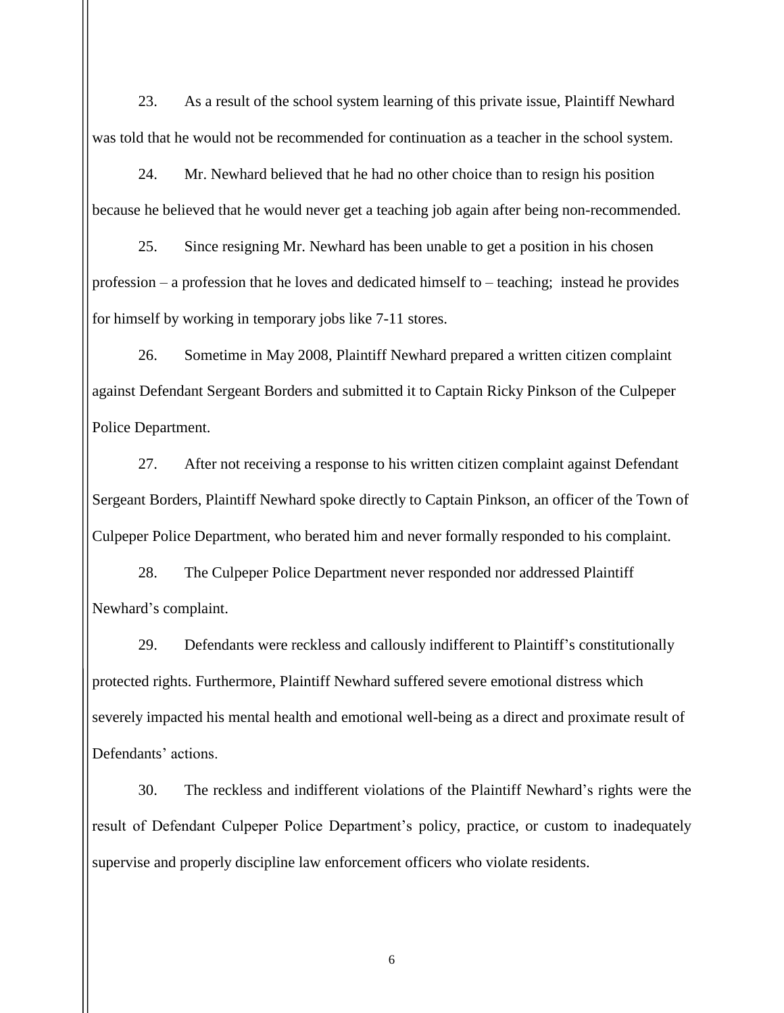23. As a result of the school system learning of this private issue, Plaintiff Newhard was told that he would not be recommended for continuation as a teacher in the school system.

24. Mr. Newhard believed that he had no other choice than to resign his position because he believed that he would never get a teaching job again after being non-recommended.

25. Since resigning Mr. Newhard has been unable to get a position in his chosen profession – a profession that he loves and dedicated himself to – teaching; instead he provides for himself by working in temporary jobs like 7-11 stores.

26. Sometime in May 2008, Plaintiff Newhard prepared a written citizen complaint against Defendant Sergeant Borders and submitted it to Captain Ricky Pinkson of the Culpeper Police Department.

27. After not receiving a response to his written citizen complaint against Defendant Sergeant Borders, Plaintiff Newhard spoke directly to Captain Pinkson, an officer of the Town of Culpeper Police Department, who berated him and never formally responded to his complaint.

28. The Culpeper Police Department never responded nor addressed Plaintiff Newhard's complaint.

29. Defendants were reckless and callously indifferent to Plaintiff's constitutionally protected rights. Furthermore, Plaintiff Newhard suffered severe emotional distress which severely impacted his mental health and emotional well-being as a direct and proximate result of Defendants' actions.

30. The reckless and indifferent violations of the Plaintiff Newhard's rights were the result of Defendant Culpeper Police Department's policy, practice, or custom to inadequately supervise and properly discipline law enforcement officers who violate residents.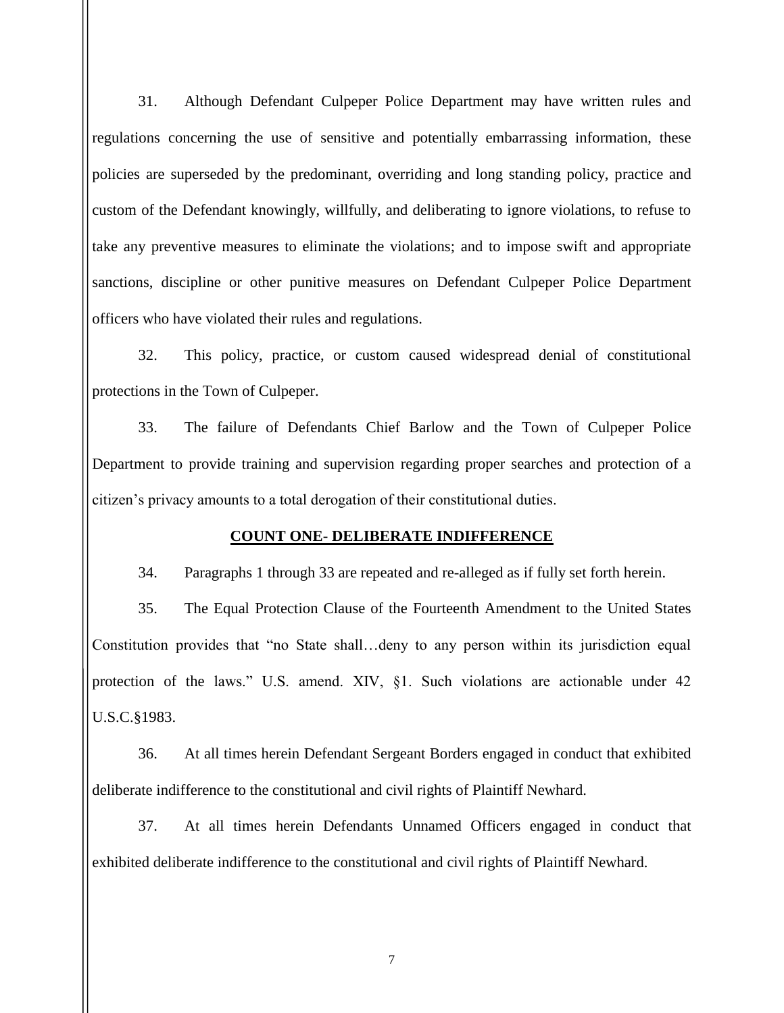31. Although Defendant Culpeper Police Department may have written rules and regulations concerning the use of sensitive and potentially embarrassing information, these policies are superseded by the predominant, overriding and long standing policy, practice and custom of the Defendant knowingly, willfully, and deliberating to ignore violations, to refuse to take any preventive measures to eliminate the violations; and to impose swift and appropriate sanctions, discipline or other punitive measures on Defendant Culpeper Police Department officers who have violated their rules and regulations.

32. This policy, practice, or custom caused widespread denial of constitutional protections in the Town of Culpeper.

33. The failure of Defendants Chief Barlow and the Town of Culpeper Police Department to provide training and supervision regarding proper searches and protection of a citizen's privacy amounts to a total derogation of their constitutional duties.

### **COUNT ONE- DELIBERATE INDIFFERENCE**

34. Paragraphs 1 through 33 are repeated and re-alleged as if fully set forth herein.

35. The Equal Protection Clause of the Fourteenth Amendment to the United States Constitution provides that "no State shall…deny to any person within its jurisdiction equal protection of the laws." U.S. amend. XIV, §1. Such violations are actionable under 42 U.S.C.§1983.

36. At all times herein Defendant Sergeant Borders engaged in conduct that exhibited deliberate indifference to the constitutional and civil rights of Plaintiff Newhard.

37. At all times herein Defendants Unnamed Officers engaged in conduct that exhibited deliberate indifference to the constitutional and civil rights of Plaintiff Newhard.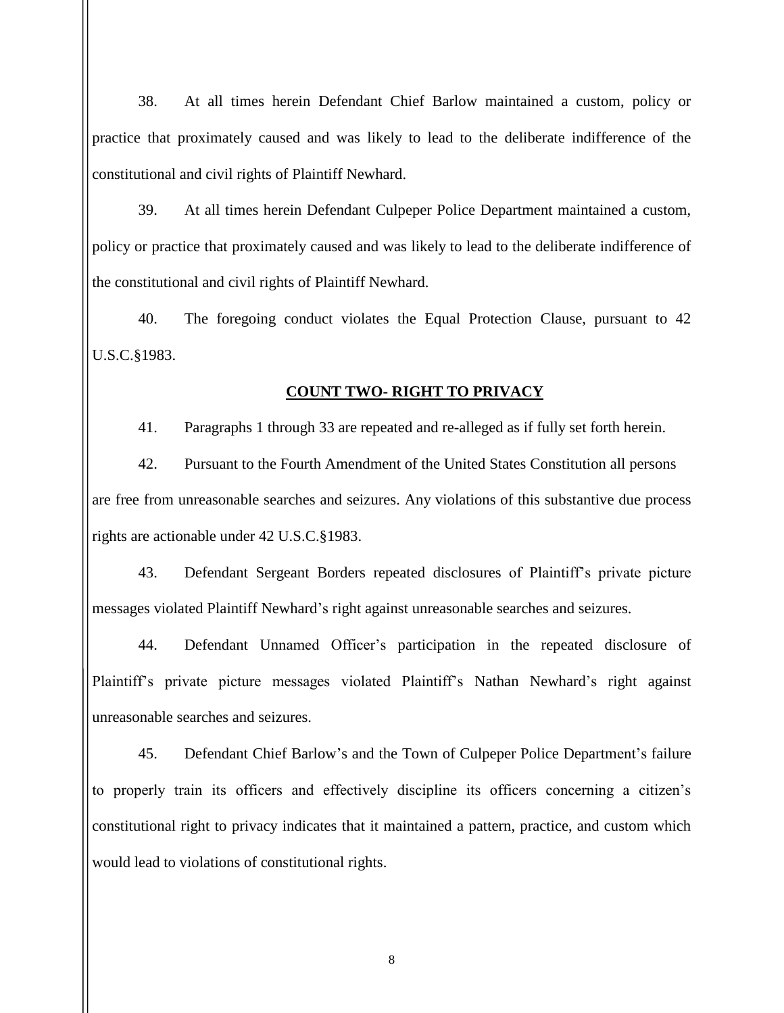38. At all times herein Defendant Chief Barlow maintained a custom, policy or practice that proximately caused and was likely to lead to the deliberate indifference of the constitutional and civil rights of Plaintiff Newhard.

39. At all times herein Defendant Culpeper Police Department maintained a custom, policy or practice that proximately caused and was likely to lead to the deliberate indifference of the constitutional and civil rights of Plaintiff Newhard.

40. The foregoing conduct violates the Equal Protection Clause, pursuant to 42 U.S.C.§1983.

#### **COUNT TWO- RIGHT TO PRIVACY**

41. Paragraphs 1 through 33 are repeated and re-alleged as if fully set forth herein.

42. Pursuant to the Fourth Amendment of the United States Constitution all persons are free from unreasonable searches and seizures. Any violations of this substantive due process rights are actionable under 42 U.S.C.§1983.

43. Defendant Sergeant Borders repeated disclosures of Plaintiff's private picture messages violated Plaintiff Newhard's right against unreasonable searches and seizures.

44. Defendant Unnamed Officer's participation in the repeated disclosure of Plaintiff's private picture messages violated Plaintiff's Nathan Newhard's right against unreasonable searches and seizures.

45. Defendant Chief Barlow's and the Town of Culpeper Police Department's failure to properly train its officers and effectively discipline its officers concerning a citizen's constitutional right to privacy indicates that it maintained a pattern, practice, and custom which would lead to violations of constitutional rights.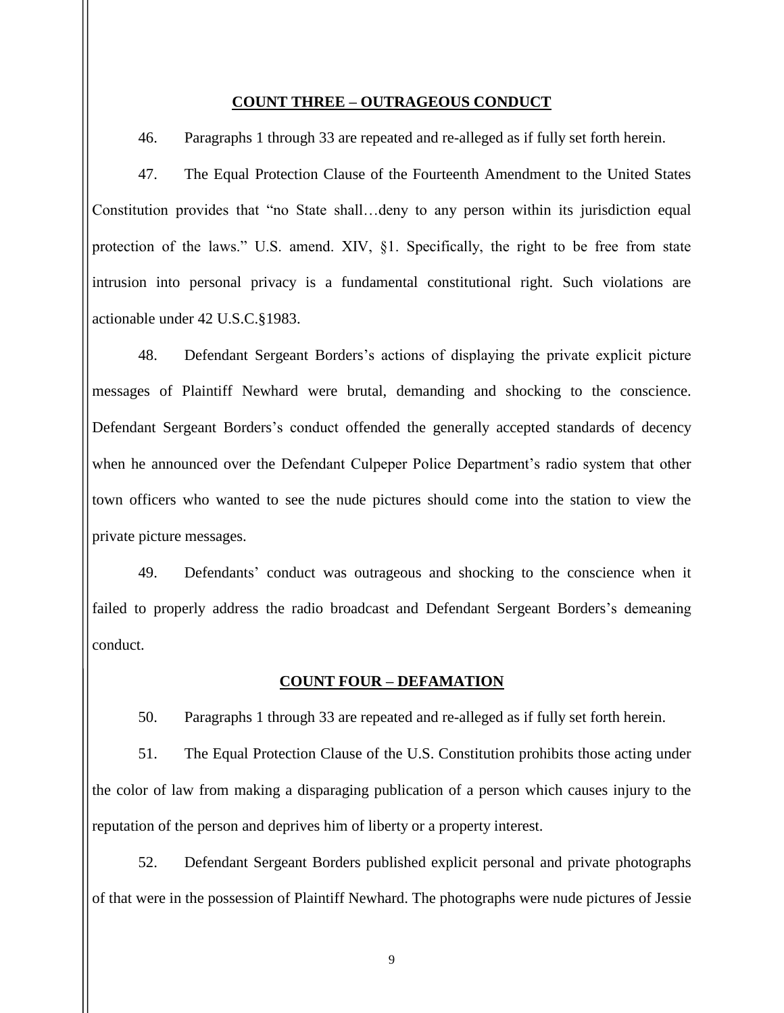#### **COUNT THREE – OUTRAGEOUS CONDUCT**

46. Paragraphs 1 through 33 are repeated and re-alleged as if fully set forth herein.

47. The Equal Protection Clause of the Fourteenth Amendment to the United States Constitution provides that "no State shall…deny to any person within its jurisdiction equal protection of the laws." U.S. amend. XIV, §1. Specifically, the right to be free from state intrusion into personal privacy is a fundamental constitutional right. Such violations are actionable under 42 U.S.C.§1983.

48. Defendant Sergeant Borders's actions of displaying the private explicit picture messages of Plaintiff Newhard were brutal, demanding and shocking to the conscience. Defendant Sergeant Borders's conduct offended the generally accepted standards of decency when he announced over the Defendant Culpeper Police Department's radio system that other town officers who wanted to see the nude pictures should come into the station to view the private picture messages.

49. Defendants' conduct was outrageous and shocking to the conscience when it failed to properly address the radio broadcast and Defendant Sergeant Borders's demeaning conduct.

#### **COUNT FOUR – DEFAMATION**

50. Paragraphs 1 through 33 are repeated and re-alleged as if fully set forth herein.

51. The Equal Protection Clause of the U.S. Constitution prohibits those acting under the color of law from making a disparaging publication of a person which causes injury to the reputation of the person and deprives him of liberty or a property interest.

52. Defendant Sergeant Borders published explicit personal and private photographs of that were in the possession of Plaintiff Newhard. The photographs were nude pictures of Jessie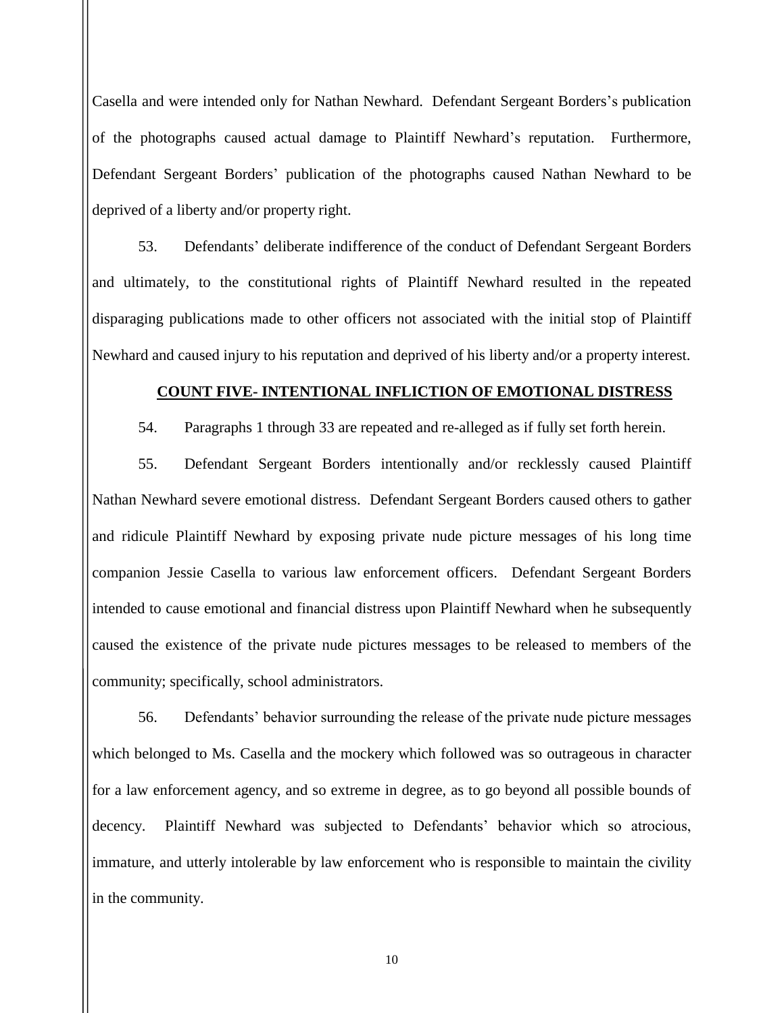Casella and were intended only for Nathan Newhard. Defendant Sergeant Borders's publication of the photographs caused actual damage to Plaintiff Newhard's reputation. Furthermore, Defendant Sergeant Borders' publication of the photographs caused Nathan Newhard to be deprived of a liberty and/or property right.

53. Defendants' deliberate indifference of the conduct of Defendant Sergeant Borders and ultimately, to the constitutional rights of Plaintiff Newhard resulted in the repeated disparaging publications made to other officers not associated with the initial stop of Plaintiff Newhard and caused injury to his reputation and deprived of his liberty and/or a property interest.

#### **COUNT FIVE- INTENTIONAL INFLICTION OF EMOTIONAL DISTRESS**

54. Paragraphs 1 through 33 are repeated and re-alleged as if fully set forth herein.

55. Defendant Sergeant Borders intentionally and/or recklessly caused Plaintiff Nathan Newhard severe emotional distress. Defendant Sergeant Borders caused others to gather and ridicule Plaintiff Newhard by exposing private nude picture messages of his long time companion Jessie Casella to various law enforcement officers. Defendant Sergeant Borders intended to cause emotional and financial distress upon Plaintiff Newhard when he subsequently caused the existence of the private nude pictures messages to be released to members of the community; specifically, school administrators.

56. Defendants' behavior surrounding the release of the private nude picture messages which belonged to Ms. Casella and the mockery which followed was so outrageous in character for a law enforcement agency, and so extreme in degree, as to go beyond all possible bounds of decency. Plaintiff Newhard was subjected to Defendants' behavior which so atrocious, immature, and utterly intolerable by law enforcement who is responsible to maintain the civility in the community.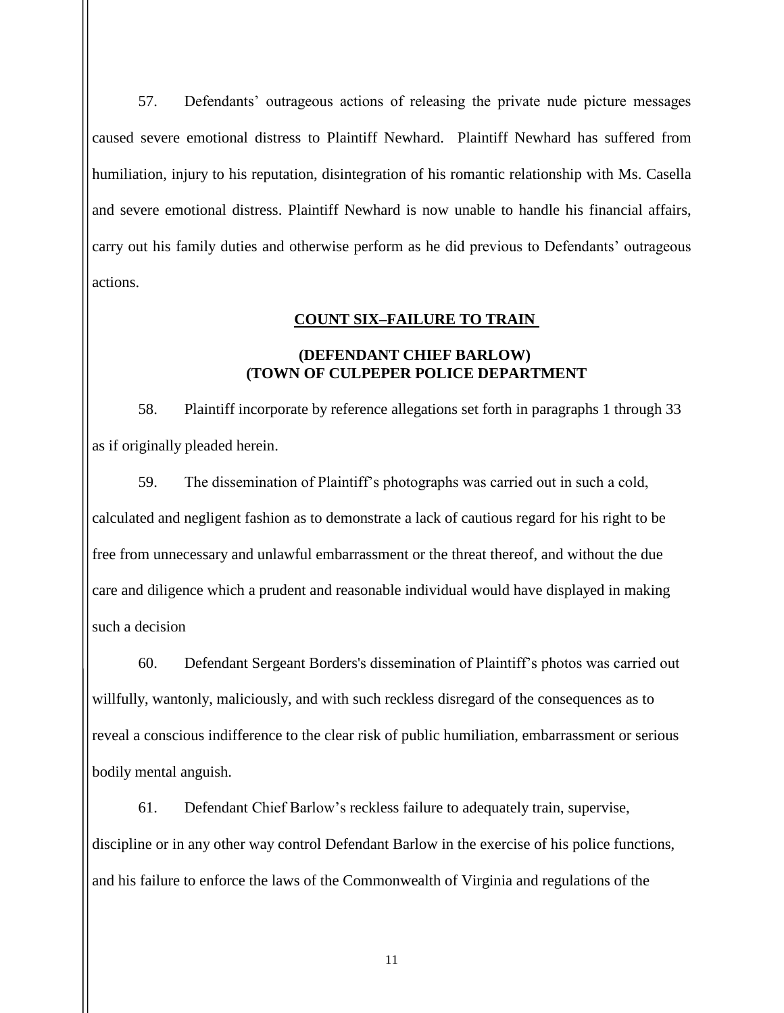57. Defendants' outrageous actions of releasing the private nude picture messages caused severe emotional distress to Plaintiff Newhard. Plaintiff Newhard has suffered from humiliation, injury to his reputation, disintegration of his romantic relationship with Ms. Casella and severe emotional distress. Plaintiff Newhard is now unable to handle his financial affairs, carry out his family duties and otherwise perform as he did previous to Defendants' outrageous actions.

### **COUNT SIX–FAILURE TO TRAIN**

## **(DEFENDANT CHIEF BARLOW) (TOWN OF CULPEPER POLICE DEPARTMENT**

58. Plaintiff incorporate by reference allegations set forth in paragraphs 1 through 33 as if originally pleaded herein.

59. The dissemination of Plaintiff's photographs was carried out in such a cold, calculated and negligent fashion as to demonstrate a lack of cautious regard for his right to be free from unnecessary and unlawful embarrassment or the threat thereof, and without the due care and diligence which a prudent and reasonable individual would have displayed in making such a decision

60. Defendant Sergeant Borders's dissemination of Plaintiff's photos was carried out willfully, wantonly, maliciously, and with such reckless disregard of the consequences as to reveal a conscious indifference to the clear risk of public humiliation, embarrassment or serious bodily mental anguish.

61. Defendant Chief Barlow's reckless failure to adequately train, supervise, discipline or in any other way control Defendant Barlow in the exercise of his police functions, and his failure to enforce the laws of the Commonwealth of Virginia and regulations of the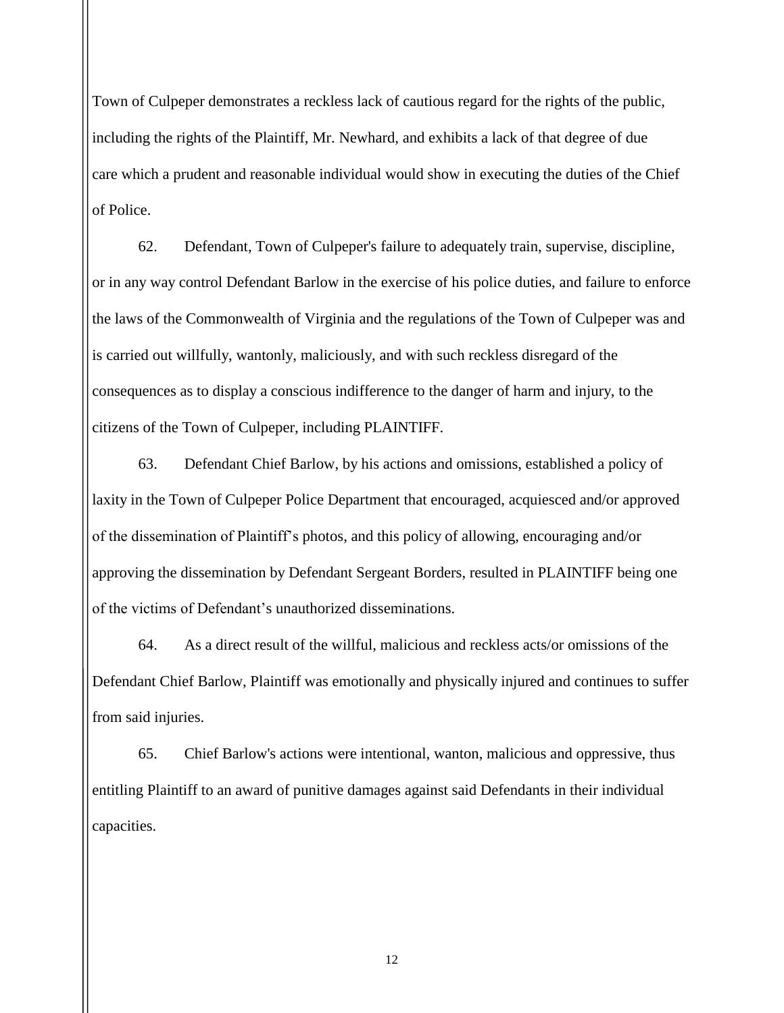Town of Culpeper demonstrates a reckless lack of cautious regard for the rights of the public, including the rights of the Plaintiff, Mr. Newhard, and exhibits a lack of that degree of due care which a prudent and reasonable individual would show in executing the duties of the Chief of Police.

62. Defendant, Town of Culpeper's failure to adequately train, supervise, discipline, or in any way control Defendant Barlow in the exercise of his police duties, and failure to enforce the laws of the Commonwealth of Virginia and the regulations of the Town of Culpeper was and is carried out willfully, wantonly, maliciously, and with such reckless disregard of the consequences as to display a conscious indifference to the danger of harm and injury, to the citizens of the Town of Culpeper, including PLAINTIFF.

63. Defendant Chief Barlow, by his actions and omissions, established a policy of laxity in the Town of Culpeper Police Department that encouraged, acquiesced and/or approved of the dissemination of Plaintiff's photos, and this policy of allowing, encouraging and/or approving the dissemination by Defendant Sergeant Borders, resulted in PLAINTIFF being one of the victims of Defendant's unauthorized disseminations.

64. As a direct result of the willful, malicious and reckless acts/or omissions of the Defendant Chief Barlow, Plaintiff was emotionally and physically injured and continues to suffer from said injuries.

65. Chief Barlow's actions were intentional, wanton, malicious and oppressive, thus entitling Plaintiff to an award of punitive damages against said Defendants in their individual capacities.